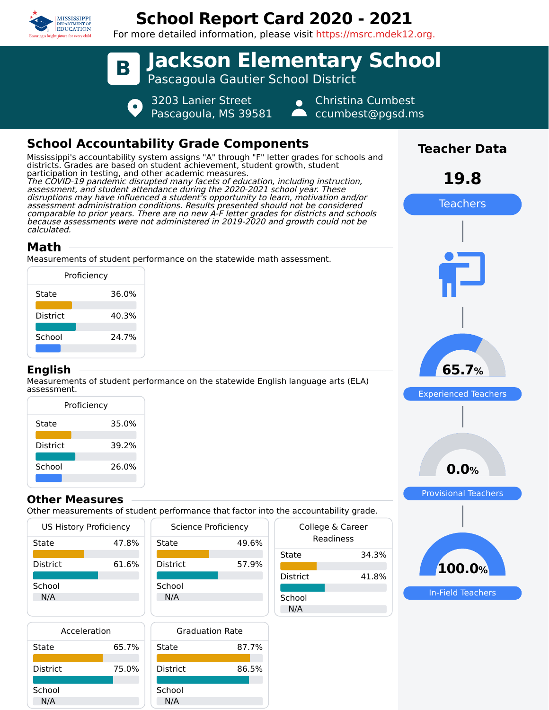

# **School Report Card 2020 - 2021**

For more detailed information, please visit https://msrc.mdek12.org.



# **School Accountability Grade Components**

Mississippi's accountability system assigns "A" through "F" letter grades for schools and districts. Grades are based on student achievement, student growth, student participation in testing, and other academic measures. The COVID-19 pandemic disrupted many facets of education, including instruction, assessment, and student attendance during the 2020-2021 school year. These disruptions may have influenced a student's opportunity to learn, motivation and/or assessment administration conditions. Results presented should not be considered comparable to prior years. There are no new A-F letter grades for districts and schools because assessments were not administered in 2019-2020 and growth could not be calculated.

# **Math**

Measurements of student performance on the statewide math assessment.

|                 | Proficiency |
|-----------------|-------------|
| State           | 36.0%       |
| <b>District</b> | 40.3%       |
| School          | 24.7%       |
|                 |             |

### **English**

Measurements of student performance on the statewide English language arts (ELA) assessment.

| Proficiency     |       |  |  |  |
|-----------------|-------|--|--|--|
| State           | 35.0% |  |  |  |
| <b>District</b> | 39.2% |  |  |  |
| School          | 26.0% |  |  |  |

### **Other Measures**

Other measurements of student performance that factor into the accountability grade.

| <b>US History Proficiency</b> |       | Science Proficiency | College |                 |
|-------------------------------|-------|---------------------|---------|-----------------|
| State                         | 47.8% | State               | 49.6%   | Rea             |
|                               |       |                     |         | State           |
| <b>District</b>               | 61.6% | <b>District</b>     | 57.9%   |                 |
|                               |       |                     |         | <b>District</b> |
| School                        |       | School              |         |                 |
| N/A                           |       | N/A                 |         | School          |
|                               |       |                     |         | N/A             |
| المستلحم والمستراه            |       | Cardinalism Data    |         |                 |

| Acceleration    |       |   |
|-----------------|-------|---|
| State           | 65.7% | S |
|                 |       |   |
| <b>District</b> | 75.0% | Γ |
|                 |       |   |
| School          |       | S |
| N/A             |       |   |



| the accountability grade.     |       |  |  |  |
|-------------------------------|-------|--|--|--|
| College & Career<br>Readiness |       |  |  |  |
| State                         | 34.3% |  |  |  |
| District                      | 41.8% |  |  |  |
| School<br>N/A                 |       |  |  |  |



**Teacher Data**

**19.8**

Teachers